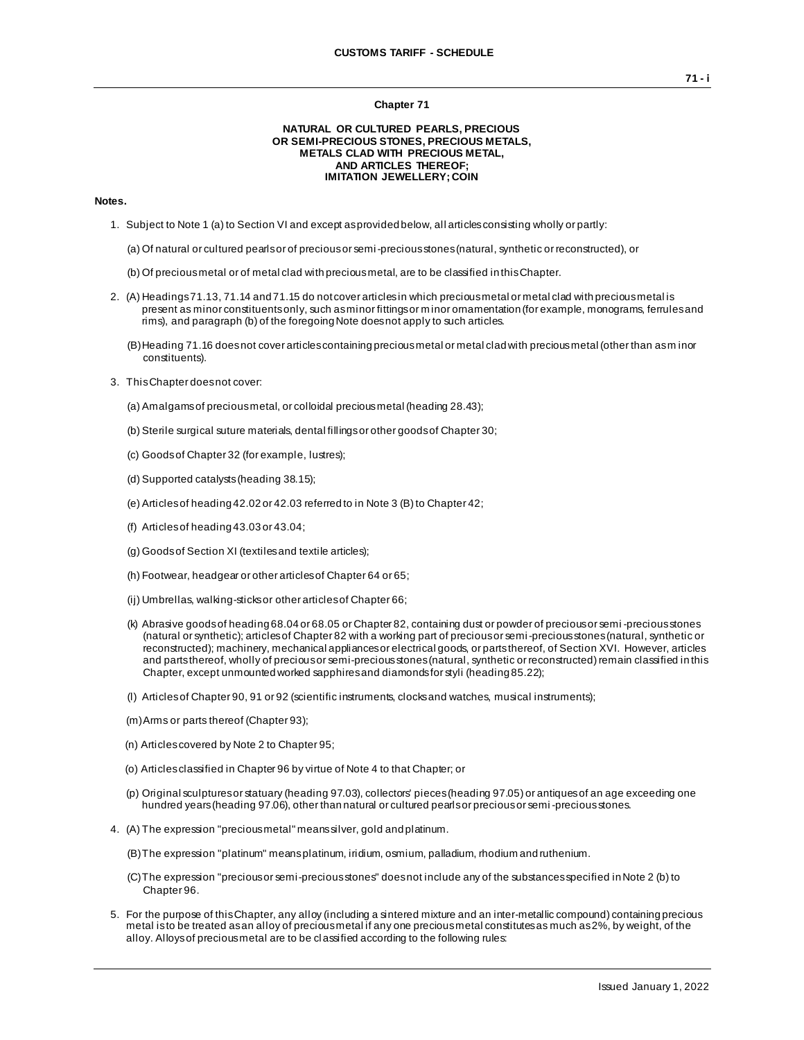#### **Chapter 71**

### **NATURAL OR CULTURED PEARLS, PRECIOUS OR SEMI-PRECIOUS STONES, PRECIOUS METALS, METALS CLAD WITH PRECIOUS METAL, AND ARTICLES THEREOF; IMITATION JEWELLERY; COIN**

## **Notes.**

- 1. Subject to Note 1 (a) to Section VI and except as provided below, all articles consisting wholly or partly:
	- (a) Of natural or cultured pearls or of precious or semi-precious stones (natural, synthetic or reconstructed), or
	- (b) Of precious metal or of metal clad with precious metal, are to be classified in this Chapter.
- 2. (A) Headings 71.13, 71.14 and 71.15 do not cover articles in which precious metal or metal clad with precious metal is present as minor constituents only, such as minor fittings or minor ornamentation (for example, monograms, ferrules and rims), and paragraph (b) of the foregoing Note does not apply to such articles.
	- (B) Heading 71.16 does not cover articles containing precious metal or metal clad with precious metal (other than as m inor constituents).
- 3. This Chapter does not cover:
	- (a) Amalgams of precious metal, or colloidal precious metal (heading 28.43);
	- (b) Sterile surgical suture materials, dental fillings or other goods of Chapter 30;
	- (c) Goods of Chapter 32 (for example, lustres);
	- (d) Supported catalysts (heading 38.15);
	- (e) Articles of heading 42.02 or 42.03 referred to in Note 3 (B) to Chapter 42;
	- (f) Articles of heading 43.03 or 43.04;
	- (g) Goods of Section XI (textiles and textile articles);
	- (h) Footwear, headgear or other articles of Chapter 64 or 65;
	- (ij) Umbrellas, walking-sticks or other articles of Chapter 66;
	- (k) Abrasive goods of heading 68.04 or 68.05 or Chapter 82, containing dust or powder of precious or semi -precious stones (natural or synthetic); articles of Chapter 82 with a working part of precious or semi-precious stones (natural, synthetic or reconstructed); machinery, mechanical appliances or electrical goods, or parts thereof, of Section XVI. However, articles and parts thereof, wholly of precious or semi-precious stones (natural, synthetic or reconstructed) remain classified in this Chapter, except unmounted worked sapphires and diamonds for styli (heading 85.22);
	- (l) Articles of Chapter 90, 91 or 92 (scientific instruments, clocks and watches, musical instruments);
	- (m)Arms or parts thereof (Chapter 93);
	- (n) Articles covered by Note 2 to Chapter 95;
	- (o) Articles classified in Chapter 96 by virtue of Note 4 to that Chapter; or
	- (p) Original sculptures or statuary (heading 97.03), collectors' pieces (heading 97.05) or antiques of an age exceeding one hundred years (heading 97.06), other than natural or cultured pearls or precious or semi -precious stones.
- 4. (A) The expression "precious metal" means silver, gold and platinum.
	- (B)The expression "platinum" means platinum, iridium, osmium, palladium, rhodium and ruthenium.
	- (C)The expression "precious or semi-precious stones" does not include any of the substances specified in Note 2 (b) to Chapter 96.
- 5. For the purpose of this Chapter, any alloy (including a sintered mixture and an inter-metallic compound) containing precious metal is to be treated as an alloy of precious metal if any one precious metal constitutes as much as 2%, by weight, of the alloy. Alloys of precious metal are to be classified according to the following rules: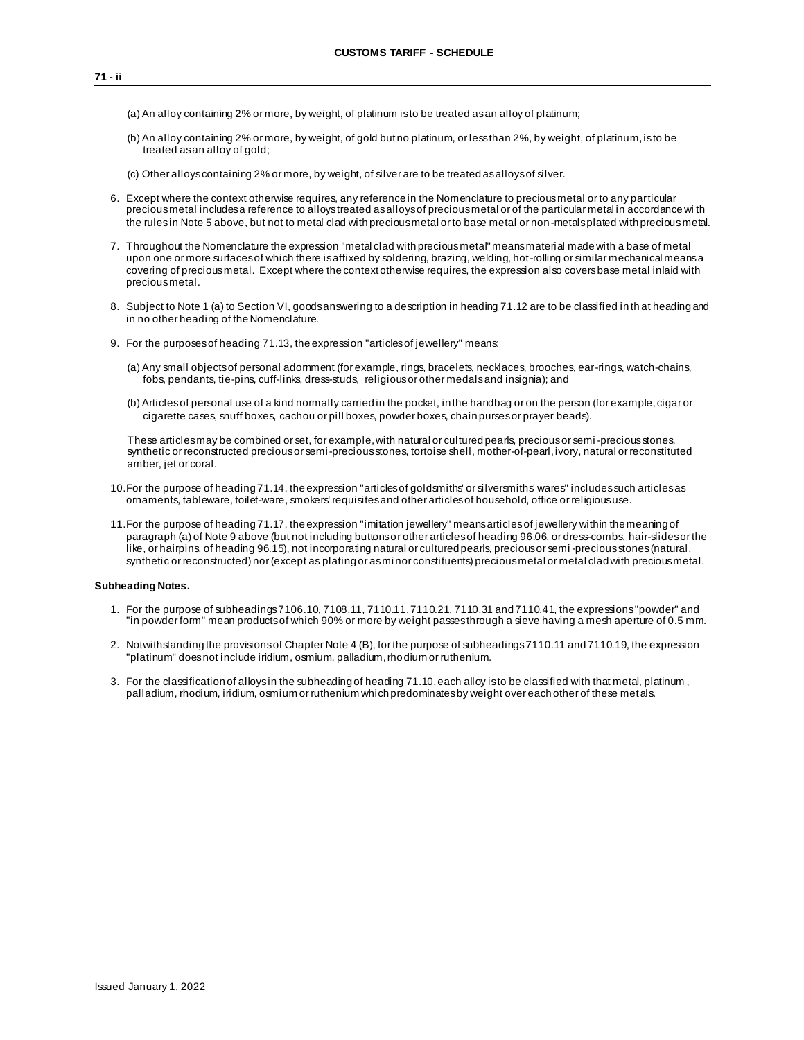- (a) An alloy containing 2% or more, by weight, of platinum is to be treated as an alloy of platinum;
- (b) An alloy containing 2% or more, by weight, of gold but no platinum, or less than 2%, by weight, of platinum, is to be treated as an alloy of gold;

(c) Other alloys containing 2% or more, by weight, of silver are to be treated as alloys of silver.

- 6. Except where the context otherwise requires, any reference in the Nomenclature to precious metal or to any particular precious metal includes a reference to alloys treated as alloys of precious metal or of the particular metal in accordance wi th the rules in Note 5 above, but not to metal clad with precious metal or to base metal or non -metals plated with preciousmetal.
- 7. Throughout the Nomenclature the expression "metal clad with precious metal" means material made with a base of metal upon one or more surfaces of which there is affixed by soldering, brazing, welding, hot-rolling or similar mechanical means a covering of precious metal. Except where the context otherwise requires, the expression also covers base metal inlaid with precious metal.
- 8. Subject to Note 1 (a) to Section VI, goods answering to a description in heading 71.12 are to be classified in th at heading and in no other heading of the Nomenclature.
- 9. For the purposes of heading 71.13, the expression "articles of jewellery" means:
	- (a) Any small objects of personal adornment (for example, rings, bracelets, necklaces, brooches, ear-rings, watch-chains, fobs, pendants, tie-pins, cuff-links, dress-studs, religious or other medals and insignia); and
	- (b) Articles of personal use of a kind normally carried in the pocket, in the handbag or on the person (for example, cigar or cigarette cases, snuff boxes, cachou or pill boxes, powder boxes, chain purses or prayer beads).

These articles may be combined or set, for example, with natural or cultured pearls, precious or semi -precious stones, synthetic or reconstructed precious or semi-precious stones, tortoise shell, mother-of-pearl, ivory, natural or reconstituted amber, jet or coral.

- 10.For the purpose of heading 71.14, the expression "articles of goldsmiths' or silversmiths' wares" includes such articles as ornaments, tableware, toilet-ware, smokers' requisites and other articles of household, office or religious use.
- 11.For the purpose of heading 71.17, the expression "imitation jewellery" means articles of jewellery within the meaning of paragraph (a) of Note 9 above (but not including buttons or other articles of heading 96.06, or dress-combs, hair-slides or the like, or hairpins, of heading 96.15), not incorporating natural or cultured pearls, precious or semi -precious stones (natural, synthetic or reconstructed) nor (except as plating or as mi nor constituents) precious metal or metal clad with precious metal.

## **Subheading Notes.**

- 1. For the purpose of subheadings 7106.10, 7108.11, 7110.11, 7110.21, 7110.31 and 7110.41, the expressions "powder" and "in powder form" mean products of which 90% or more by weight passes through a sieve having a mesh aperture of 0.5 mm.
- 2. Notwithstanding the provisions of Chapter Note 4 (B), for the purpose of subheadings 7110.11 and 7110.19, the expression "platinum" does not include iridium, osmium, palladium, rhodium or ruthenium.
- 3. For the classification of alloys in the subheading of heading 71.10, each alloy is to be classified with that metal, platinum , palladium, rhodium, iridium, osmium or ruthenium which predominates by weight over each other of these met als.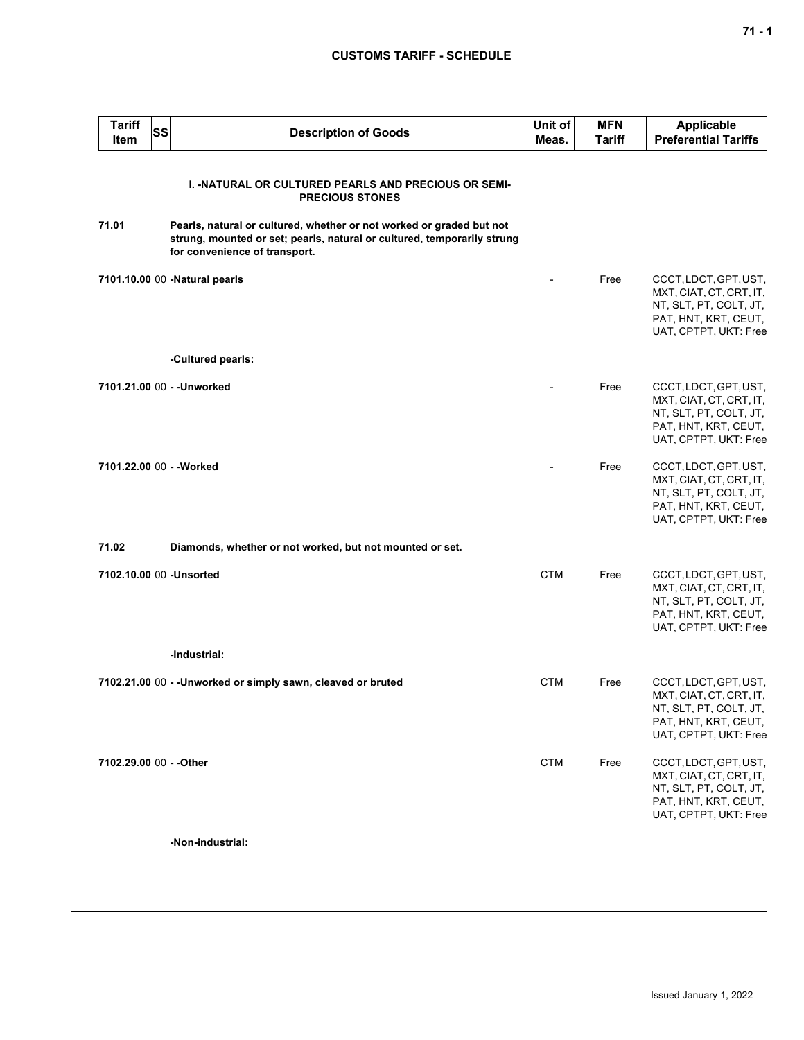# **CUSTOMS TARIFF - SCHEDULE**

| <b>Tariff</b><br>Item    | <b>SS</b> | <b>Description of Goods</b>                                                                                                                                                      | Unit of<br>Meas. | <b>MFN</b><br>Tariff | <b>Applicable</b><br><b>Preferential Tariffs</b>                                                                            |
|--------------------------|-----------|----------------------------------------------------------------------------------------------------------------------------------------------------------------------------------|------------------|----------------------|-----------------------------------------------------------------------------------------------------------------------------|
|                          |           | <b>I. -NATURAL OR CULTURED PEARLS AND PRECIOUS OR SEMI-</b><br><b>PRECIOUS STONES</b>                                                                                            |                  |                      |                                                                                                                             |
| 71.01                    |           | Pearls, natural or cultured, whether or not worked or graded but not<br>strung, mounted or set; pearls, natural or cultured, temporarily strung<br>for convenience of transport. |                  |                      |                                                                                                                             |
|                          |           | 7101.10.00 00 -Natural pearls                                                                                                                                                    |                  | Free                 | CCCT, LDCT, GPT, UST,<br>MXT, CIAT, CT, CRT, IT,<br>NT, SLT, PT, COLT, JT,<br>PAT, HNT, KRT, CEUT,<br>UAT, CPTPT, UKT: Free |
|                          |           | -Cultured pearls:                                                                                                                                                                |                  |                      |                                                                                                                             |
|                          |           | 7101.21.00 00 - - Unworked                                                                                                                                                       |                  | Free                 | CCCT, LDCT, GPT, UST,<br>MXT, CIAT, CT, CRT, IT,<br>NT, SLT, PT, COLT, JT,<br>PAT, HNT, KRT, CEUT,<br>UAT, CPTPT, UKT: Free |
| 7101.22.00 00 - - Worked |           |                                                                                                                                                                                  |                  | Free                 | CCCT, LDCT, GPT, UST,<br>MXT, CIAT, CT, CRT, IT,<br>NT, SLT, PT, COLT, JT,<br>PAT, HNT, KRT, CEUT,<br>UAT, CPTPT, UKT: Free |
| 71.02                    |           | Diamonds, whether or not worked, but not mounted or set.                                                                                                                         |                  |                      |                                                                                                                             |
| 7102.10.00 00 - Unsorted |           |                                                                                                                                                                                  | <b>CTM</b>       | Free                 | CCCT, LDCT, GPT, UST,<br>MXT, CIAT, CT, CRT, IT,<br>NT, SLT, PT, COLT, JT,<br>PAT, HNT, KRT, CEUT,<br>UAT, CPTPT, UKT: Free |
|                          |           | -Industrial:                                                                                                                                                                     |                  |                      |                                                                                                                             |
|                          |           | 7102.21.00 00 - - Unworked or simply sawn, cleaved or bruted                                                                                                                     | <b>CTM</b>       | Free                 | CCCT, LDCT, GPT, UST,<br>MXT, CIAT, CT, CRT, IT,<br>NT, SLT, PT, COLT, JT,<br>PAT, HNT, KRT, CEUT,<br>UAT, CPTPT, UKT: Free |
| 7102.29.00 00 - - Other  |           |                                                                                                                                                                                  | <b>CTM</b>       | Free                 | CCCT, LDCT, GPT, UST,<br>MXT, CIAT, CT, CRT, IT,<br>NT, SLT, PT, COLT, JT,<br>PAT, HNT, KRT, CEUT,<br>UAT, CPTPT, UKT: Free |
|                          |           | -Non-industrial:                                                                                                                                                                 |                  |                      |                                                                                                                             |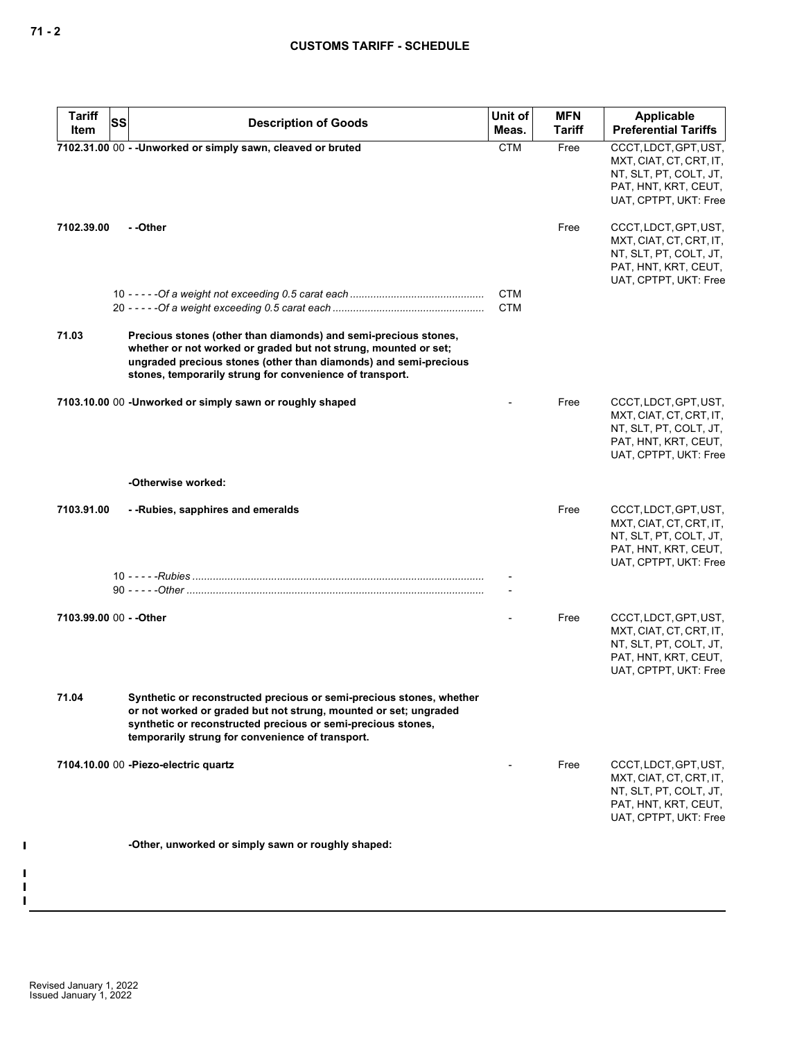| <b>Tariff</b><br>SS     | <b>Description of Goods</b>                                                                                                                                                                                                                                        | Unit of<br>Meas.         | <b>MFN</b><br><b>Tariff</b> | Applicable<br><b>Preferential Tariffs</b>                                                                                   |
|-------------------------|--------------------------------------------------------------------------------------------------------------------------------------------------------------------------------------------------------------------------------------------------------------------|--------------------------|-----------------------------|-----------------------------------------------------------------------------------------------------------------------------|
| Item                    |                                                                                                                                                                                                                                                                    | <b>CTM</b>               | Free                        |                                                                                                                             |
|                         | 7102.31.00 00 - - Unworked or simply sawn, cleaved or bruted                                                                                                                                                                                                       |                          |                             | CCCT, LDCT, GPT, UST,<br>MXT, CIAT, CT, CRT, IT,<br>NT, SLT, PT, COLT, JT,<br>PAT, HNT, KRT, CEUT,<br>UAT, CPTPT, UKT: Free |
| 7102.39.00              | - -Other                                                                                                                                                                                                                                                           |                          | Free                        | CCCT, LDCT, GPT, UST,<br>MXT, CIAT, CT, CRT, IT,<br>NT, SLT, PT, COLT, JT,<br>PAT, HNT, KRT, CEUT,<br>UAT, CPTPT, UKT: Free |
|                         |                                                                                                                                                                                                                                                                    | <b>CTM</b><br><b>CTM</b> |                             |                                                                                                                             |
| 71.03                   | Precious stones (other than diamonds) and semi-precious stones,<br>whether or not worked or graded but not strung, mounted or set;<br>ungraded precious stones (other than diamonds) and semi-precious<br>stones, temporarily strung for convenience of transport. |                          |                             |                                                                                                                             |
|                         | 7103.10.00 00 -Unworked or simply sawn or roughly shaped                                                                                                                                                                                                           |                          | Free                        | CCCT, LDCT, GPT, UST,<br>MXT, CIAT, CT, CRT, IT,<br>NT, SLT, PT, COLT, JT,<br>PAT, HNT, KRT, CEUT,<br>UAT, CPTPT, UKT: Free |
|                         | -Otherwise worked:                                                                                                                                                                                                                                                 |                          |                             |                                                                                                                             |
| 7103.91.00              | - - Rubies, sapphires and emeralds                                                                                                                                                                                                                                 |                          | Free                        | CCCT, LDCT, GPT, UST,<br>MXT, CIAT, CT, CRT, IT,<br>NT, SLT, PT, COLT, JT,<br>PAT, HNT, KRT, CEUT,<br>UAT, CPTPT, UKT: Free |
|                         |                                                                                                                                                                                                                                                                    |                          |                             |                                                                                                                             |
| 7103.99.00 00 - - Other |                                                                                                                                                                                                                                                                    |                          | Free                        | CCCT, LDCT, GPT, UST,<br>MXT, CIAT, CT, CRT, IT,<br>NT, SLT, PT, COLT, JT,<br>PAT, HNT, KRT, CEUT,<br>UAT, CPTPT, UKT: Free |
| 71.04                   | Synthetic or reconstructed precious or semi-precious stones, whether<br>or not worked or graded but not strung, mounted or set; ungraded<br>synthetic or reconstructed precious or semi-precious stones,<br>temporarily strung for convenience of transport.       |                          |                             |                                                                                                                             |
|                         | 7104.10.00 00 - Piezo-electric quartz                                                                                                                                                                                                                              |                          | Free                        | CCCT, LDCT, GPT, UST,<br>MXT, CIAT, CT, CRT, IT,<br>NT, SLT, PT, COLT, JT,<br>PAT, HNT, KRT, CEUT,<br>UAT, CPTPT, UKT: Free |
|                         | -Other, unworked or simply sawn or roughly shaped:                                                                                                                                                                                                                 |                          |                             |                                                                                                                             |
|                         |                                                                                                                                                                                                                                                                    |                          |                             |                                                                                                                             |

 $\mathbf I$ 

 $\mathbf{I}$  $\mathbf{I}$  $\mathbf{I}$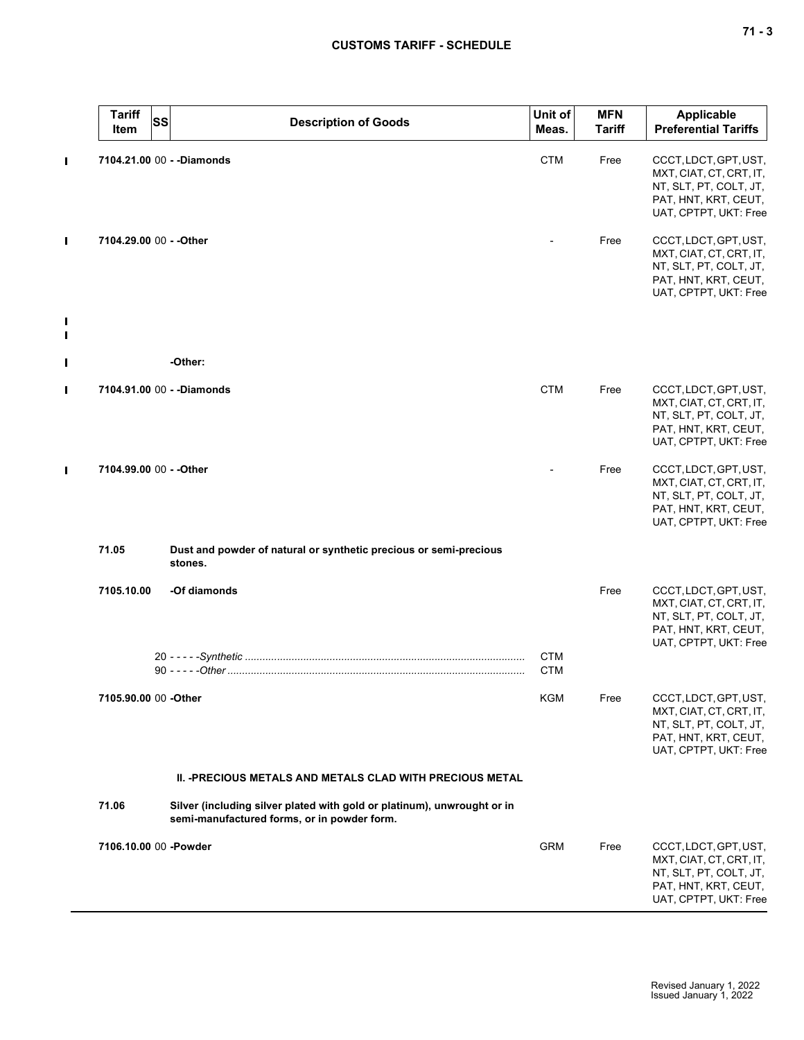|                     | <b>Tariff</b><br><b>SS</b><br>Item | <b>Description of Goods</b>                                                                                            | Unit of<br>Meas.         | <b>MFN</b><br><b>Tariff</b> | Applicable<br><b>Preferential Tariffs</b>                                                                                   |
|---------------------|------------------------------------|------------------------------------------------------------------------------------------------------------------------|--------------------------|-----------------------------|-----------------------------------------------------------------------------------------------------------------------------|
| П                   |                                    | 7104.21.00 00 - - Diamonds                                                                                             | <b>CTM</b>               | Free                        | CCCT, LDCT, GPT, UST,<br>MXT, CIAT, CT, CRT, IT,<br>NT, SLT, PT, COLT, JT,<br>PAT, HNT, KRT, CEUT,<br>UAT, CPTPT, UKT: Free |
| П                   | 7104.29.00 00 - - Other            |                                                                                                                        |                          | Free                        | CCCT, LDCT, GPT, UST,<br>MXT, CIAT, CT, CRT, IT,<br>NT, SLT, PT, COLT, JT,<br>PAT, HNT, KRT, CEUT,<br>UAT, CPTPT, UKT: Free |
| $\blacksquare$<br>П |                                    |                                                                                                                        |                          |                             |                                                                                                                             |
| Ш                   |                                    | -Other:                                                                                                                |                          |                             |                                                                                                                             |
| $\blacksquare$      |                                    | 7104.91.00 00 - - Diamonds                                                                                             | <b>CTM</b>               | Free                        | CCCT, LDCT, GPT, UST,<br>MXT, CIAT, CT, CRT, IT,<br>NT, SLT, PT, COLT, JT,<br>PAT, HNT, KRT, CEUT,<br>UAT, CPTPT, UKT: Free |
| П                   | 7104.99.00 00 - - Other            |                                                                                                                        |                          | Free                        | CCCT, LDCT, GPT, UST,<br>MXT, CIAT, CT, CRT, IT,<br>NT, SLT, PT, COLT, JT,<br>PAT, HNT, KRT, CEUT,<br>UAT, CPTPT, UKT: Free |
|                     | 71.05                              | Dust and powder of natural or synthetic precious or semi-precious<br>stones.                                           |                          |                             |                                                                                                                             |
|                     | 7105.10.00                         | -Of diamonds                                                                                                           |                          | Free                        | CCCT, LDCT, GPT, UST,<br>MXT, CIAT, CT, CRT, IT,<br>NT, SLT, PT, COLT, JT,<br>PAT, HNT, KRT, CEUT,<br>UAT, CPTPT, UKT: Free |
|                     |                                    |                                                                                                                        | <b>CTM</b><br><b>CTM</b> |                             |                                                                                                                             |
|                     |                                    |                                                                                                                        | KGM                      | Free                        | CCCT, LDCT, GPT, UST,<br>MXT, CIAT, CT, CRT, IT,<br>NT, SLT, PT, COLT, JT,<br>PAT, HNT, KRT, CEUT,<br>UAT, CPTPT, UKT: Free |
|                     |                                    | <b>II. -PRECIOUS METALS AND METALS CLAD WITH PRECIOUS METAL</b>                                                        |                          |                             |                                                                                                                             |
|                     | 71.06                              | Silver (including silver plated with gold or platinum), unwrought or in<br>semi-manufactured forms, or in powder form. |                          |                             |                                                                                                                             |
|                     | 7106.10.00 00 -Powder              |                                                                                                                        | <b>GRM</b>               | Free                        | CCCT, LDCT, GPT, UST,<br>MXT, CIAT, CT, CRT, IT,<br>NT, SLT, PT, COLT, JT,<br>PAT, HNT, KRT, CEUT,<br>UAT, CPTPT, UKT: Free |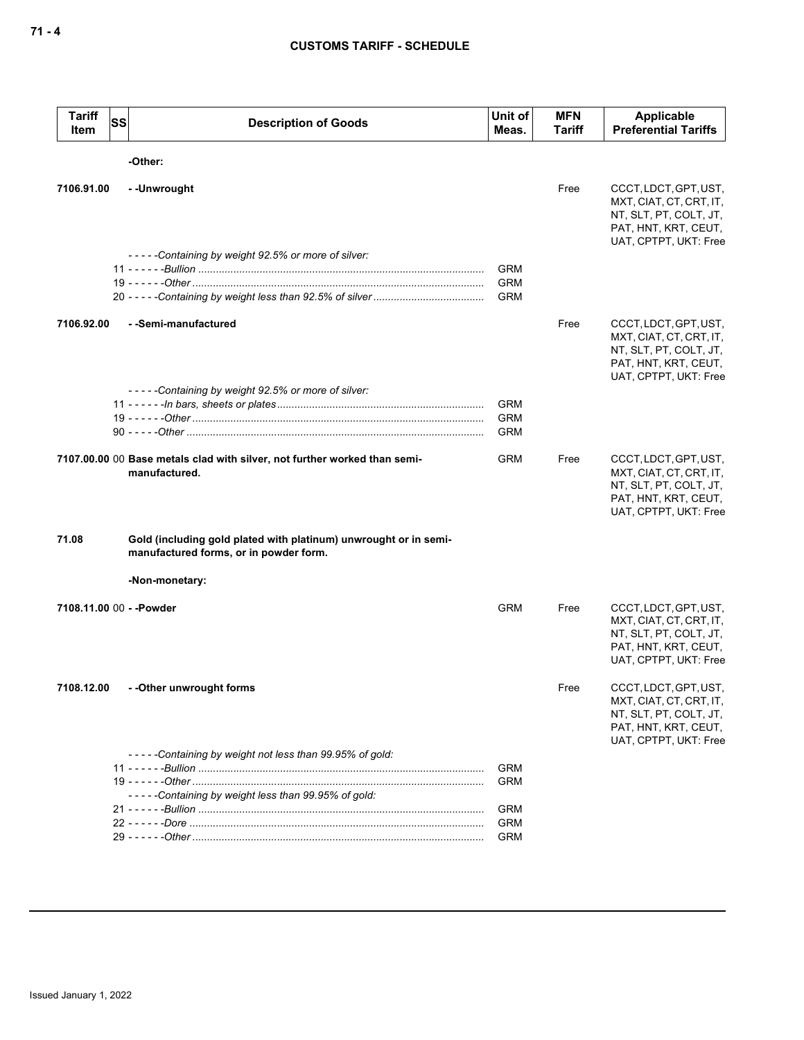| <b>Tariff</b><br>Item    | <b>SS</b> | <b>Description of Goods</b>                                                                                | Unit of<br>Meas.                       | <b>MFN</b><br>Tariff | <b>Applicable</b><br><b>Preferential Tariffs</b>                                                                            |
|--------------------------|-----------|------------------------------------------------------------------------------------------------------------|----------------------------------------|----------------------|-----------------------------------------------------------------------------------------------------------------------------|
|                          |           | -Other:                                                                                                    |                                        |                      |                                                                                                                             |
| 7106.91.00               |           | -- Unwrought                                                                                               |                                        | Free                 | CCCT, LDCT, GPT, UST,<br>MXT, CIAT, CT, CRT, IT,<br>NT, SLT, PT, COLT, JT,<br>PAT, HNT, KRT, CEUT,<br>UAT, CPTPT, UKT: Free |
|                          |           | -----Containing by weight 92.5% or more of silver:                                                         | <b>GRM</b><br><b>GRM</b><br><b>GRM</b> |                      |                                                                                                                             |
| 7106.92.00               |           | - -Semi-manufactured                                                                                       |                                        | Free                 | CCCT, LDCT, GPT, UST,<br>MXT, CIAT, CT, CRT, IT,<br>NT, SLT, PT, COLT, JT,<br>PAT, HNT, KRT, CEUT,<br>UAT, CPTPT, UKT: Free |
|                          |           | -----Containing by weight 92.5% or more of silver:                                                         | <b>GRM</b><br><b>GRM</b><br><b>GRM</b> |                      |                                                                                                                             |
|                          |           | 7107.00.00 00 Base metals clad with silver, not further worked than semi-<br>manufactured.                 | <b>GRM</b>                             | Free                 | CCCT, LDCT, GPT, UST,<br>MXT, CIAT, CT, CRT, IT,<br>NT, SLT, PT, COLT, JT,<br>PAT, HNT, KRT, CEUT,<br>UAT, CPTPT, UKT: Free |
| 71.08                    |           | Gold (including gold plated with platinum) unwrought or in semi-<br>manufactured forms, or in powder form. |                                        |                      |                                                                                                                             |
|                          |           | -Non-monetary:                                                                                             |                                        |                      |                                                                                                                             |
| 7108.11.00 00 - - Powder |           |                                                                                                            | <b>GRM</b>                             | Free                 | CCCT, LDCT, GPT, UST,<br>MXT, CIAT, CT, CRT, IT,<br>NT, SLT, PT, COLT, JT,<br>PAT, HNT, KRT, CEUT,<br>UAT, CPTPT, UKT: Free |
| 7108.12.00               |           | - -Other unwrought forms                                                                                   |                                        | Free                 | CCCT, LDCT, GPT, UST,<br>MXT, CIAT, CT, CRT, IT,<br>NT, SLT, PT, COLT, JT,<br>PAT, HNT, KRT, CEUT,<br>UAT, CPTPT, UKT: Free |
|                          |           | -----Containing by weight not less than 99.95% of gold:                                                    | <b>GRM</b>                             |                      |                                                                                                                             |
|                          |           | -----Containing by weight less than 99.95% of gold:                                                        | <b>GRM</b>                             |                      |                                                                                                                             |
|                          |           |                                                                                                            | <b>GRM</b>                             |                      |                                                                                                                             |
|                          |           |                                                                                                            | <b>GRM</b><br><b>GRM</b>               |                      |                                                                                                                             |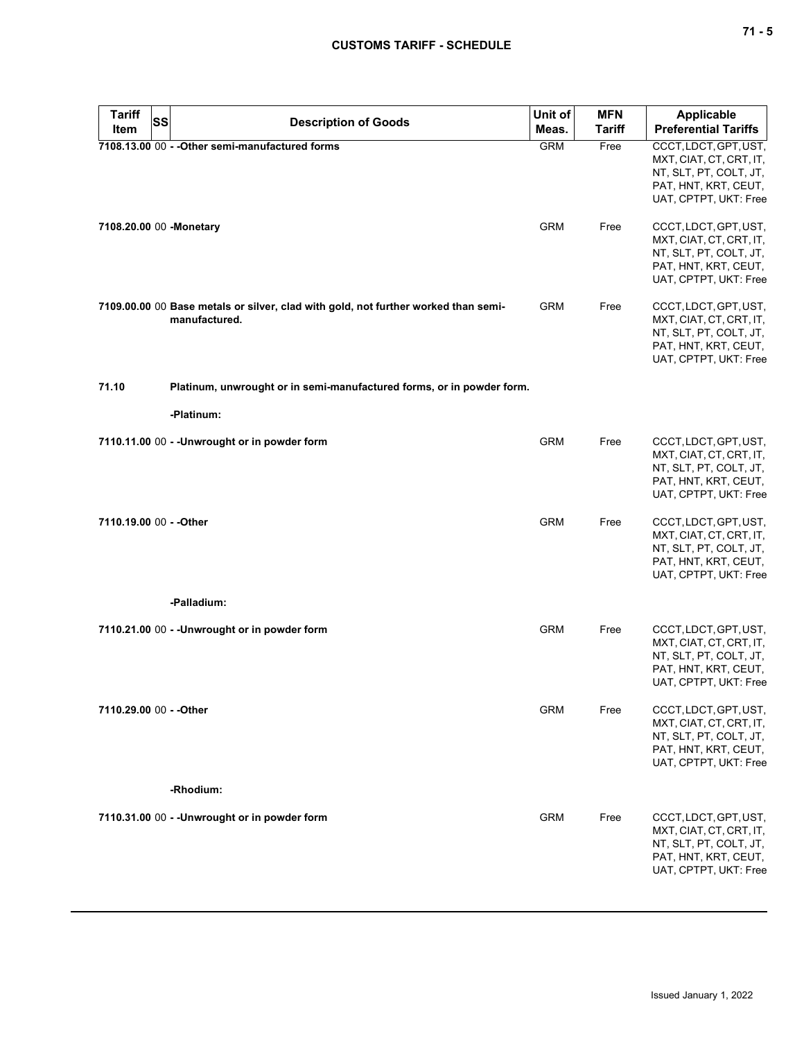| <b>Tariff</b><br><b>SS</b> | <b>Description of Goods</b>                                                                         | Unit of    | <b>MFN</b>    | Applicable                                                                                                                  |
|----------------------------|-----------------------------------------------------------------------------------------------------|------------|---------------|-----------------------------------------------------------------------------------------------------------------------------|
| Item                       |                                                                                                     | Meas.      | <b>Tariff</b> | <b>Preferential Tariffs</b>                                                                                                 |
|                            | 7108.13.00 00 - - Other semi-manufactured forms                                                     | <b>GRM</b> | Free          | CCCT, LDCT, GPT, UST,<br>MXT, CIAT, CT, CRT, IT,<br>NT, SLT, PT, COLT, JT,<br>PAT, HNT, KRT, CEUT,<br>UAT, CPTPT, UKT: Free |
| 7108.20.00 00 -Monetary    |                                                                                                     | <b>GRM</b> | Free          | CCCT, LDCT, GPT, UST,<br>MXT, CIAT, CT, CRT, IT,<br>NT, SLT, PT, COLT, JT,<br>PAT, HNT, KRT, CEUT,<br>UAT, CPTPT, UKT: Free |
|                            | 7109.00.00 00 Base metals or silver, clad with gold, not further worked than semi-<br>manufactured. | <b>GRM</b> | Free          | CCCT, LDCT, GPT, UST,<br>MXT, CIAT, CT, CRT, IT,<br>NT, SLT, PT, COLT, JT,<br>PAT, HNT, KRT, CEUT,<br>UAT, CPTPT, UKT: Free |
| 71.10                      | Platinum, unwrought or in semi-manufactured forms, or in powder form.                               |            |               |                                                                                                                             |
|                            | -Platinum:                                                                                          |            |               |                                                                                                                             |
|                            | 7110.11.00 00 - - Unwrought or in powder form                                                       | <b>GRM</b> | Free          | CCCT, LDCT, GPT, UST,<br>MXT, CIAT, CT, CRT, IT,<br>NT, SLT, PT, COLT, JT,<br>PAT, HNT, KRT, CEUT,<br>UAT, CPTPT, UKT: Free |
| 7110.19.00 00 - - Other    |                                                                                                     | <b>GRM</b> | Free          | CCCT, LDCT, GPT, UST,<br>MXT, CIAT, CT, CRT, IT,<br>NT, SLT, PT, COLT, JT,<br>PAT, HNT, KRT, CEUT,<br>UAT, CPTPT, UKT: Free |
|                            | -Palladium:                                                                                         |            |               |                                                                                                                             |
|                            | 7110.21.00 00 - - Unwrought or in powder form                                                       | <b>GRM</b> | Free          | CCCT, LDCT, GPT, UST,<br>MXT, CIAT, CT, CRT, IT,<br>NT, SLT, PT, COLT, JT,<br>PAT, HNT, KRT, CEUT,<br>UAT, CPTPT, UKT: Free |
| 7110.29.00 00 - - Other    |                                                                                                     | <b>GRM</b> | Free          | CCCT, LDCT, GPT, UST,<br>MXT, CIAT, CT, CRT, IT,<br>NT, SLT, PT, COLT, JT,<br>PAT, HNT, KRT, CEUT,<br>UAT, CPTPT, UKT: Free |
|                            | -Rhodium:                                                                                           |            |               |                                                                                                                             |
|                            | 7110.31.00 00 - - Unwrought or in powder form                                                       | <b>GRM</b> | Free          | CCCT, LDCT, GPT, UST,<br>MXT, CIAT, CT, CRT, IT,<br>NT, SLT, PT, COLT, JT,<br>PAT, HNT, KRT, CEUT,<br>UAT, CPTPT, UKT: Free |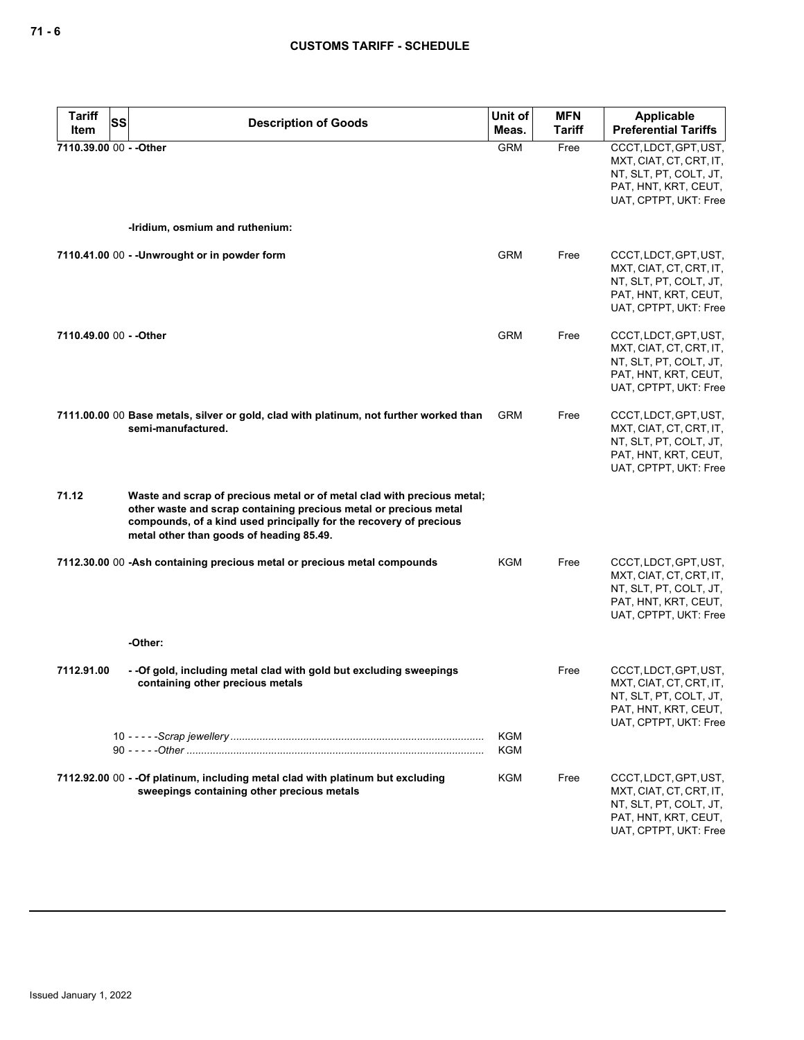| <b>Tariff</b><br>SS<br>Item | <b>Description of Goods</b>                                                                                                                                                                                                                                    | Unit of<br>Meas.  | <b>MFN</b><br>Tariff | <b>Applicable</b><br><b>Preferential Tariffs</b>                                                                            |
|-----------------------------|----------------------------------------------------------------------------------------------------------------------------------------------------------------------------------------------------------------------------------------------------------------|-------------------|----------------------|-----------------------------------------------------------------------------------------------------------------------------|
| 7110.39.00 00 - - Other     |                                                                                                                                                                                                                                                                | <b>GRM</b>        | Free                 | CCCT, LDCT, GPT, UST,<br>MXT, CIAT, CT, CRT, IT,<br>NT, SLT, PT, COLT, JT,<br>PAT, HNT, KRT, CEUT,<br>UAT, CPTPT, UKT: Free |
|                             | -Iridium, osmium and ruthenium:                                                                                                                                                                                                                                |                   |                      |                                                                                                                             |
|                             | 7110.41.00 00 - - Unwrought or in powder form                                                                                                                                                                                                                  | <b>GRM</b>        | Free                 | CCCT, LDCT, GPT, UST,<br>MXT, CIAT, CT, CRT, IT,<br>NT, SLT, PT, COLT, JT,<br>PAT, HNT, KRT, CEUT,<br>UAT, CPTPT, UKT: Free |
| 7110.49.00 00 - - Other     |                                                                                                                                                                                                                                                                | <b>GRM</b>        | Free                 | CCCT, LDCT, GPT, UST,<br>MXT, CIAT, CT, CRT, IT,<br>NT, SLT, PT, COLT, JT,<br>PAT, HNT, KRT, CEUT,<br>UAT, CPTPT, UKT: Free |
|                             | 7111.00.00 00 Base metals, silver or gold, clad with platinum, not further worked than<br>semi-manufactured.                                                                                                                                                   | <b>GRM</b>        | Free                 | CCCT, LDCT, GPT, UST,<br>MXT, CIAT, CT, CRT, IT,<br>NT, SLT, PT, COLT, JT,<br>PAT, HNT, KRT, CEUT,<br>UAT, CPTPT, UKT: Free |
| 71.12                       | Waste and scrap of precious metal or of metal clad with precious metal;<br>other waste and scrap containing precious metal or precious metal<br>compounds, of a kind used principally for the recovery of precious<br>metal other than goods of heading 85.49. |                   |                      |                                                                                                                             |
|                             | 7112.30.00 00 -Ash containing precious metal or precious metal compounds                                                                                                                                                                                       | KGM               | Free                 | CCCT, LDCT, GPT, UST,<br>MXT, CIAT, CT, CRT, IT,<br>NT, SLT, PT, COLT, JT,<br>PAT, HNT, KRT, CEUT,<br>UAT, CPTPT, UKT: Free |
|                             | -Other:                                                                                                                                                                                                                                                        |                   |                      |                                                                                                                             |
| 7112.91.00                  | - - Of gold, including metal clad with gold but excluding sweepings<br>containing other precious metals                                                                                                                                                        |                   | Free                 | CCCT, LDCT, GPT, UST,<br>MXT, CIAT, CT, CRT, IT,<br>NT, SLT, PT, COLT, JT,<br>PAT, HNT, KRT, CEUT,<br>UAT, CPTPT, UKT: Free |
|                             |                                                                                                                                                                                                                                                                | <b>KGM</b><br>KGM |                      |                                                                                                                             |
|                             | 7112.92.00 00 - - Of platinum, including metal clad with platinum but excluding<br>sweepings containing other precious metals                                                                                                                                  | KGM               | Free                 | CCCT, LDCT, GPT, UST,<br>MXT, CIAT, CT, CRT, IT,<br>NT, SLT, PT, COLT, JT,<br>PAT, HNT, KRT, CEUT,<br>UAT, CPTPT, UKT: Free |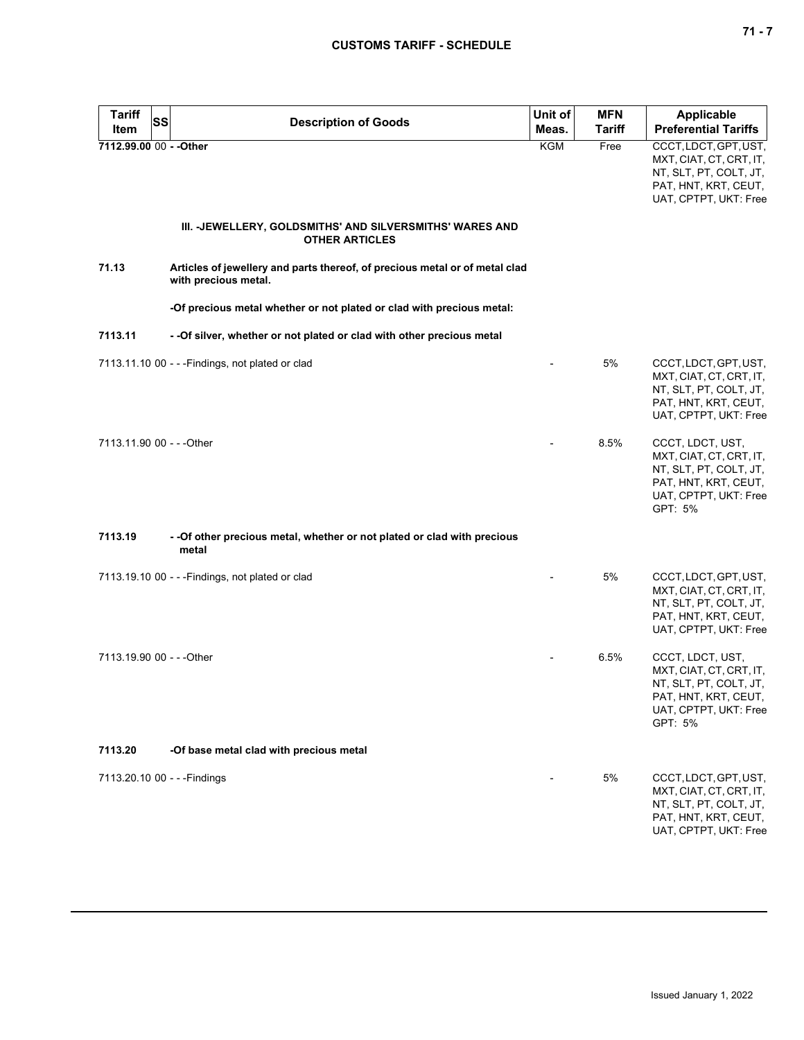| <b>Tariff</b><br>Item     | <b>SS</b><br><b>Description of Goods</b>                                                            | Unit of<br>Meas. | <b>MFN</b><br><b>Tariff</b> | Applicable<br><b>Preferential Tariffs</b>                                                                                         |
|---------------------------|-----------------------------------------------------------------------------------------------------|------------------|-----------------------------|-----------------------------------------------------------------------------------------------------------------------------------|
| 7112.99.00 00 - - Other   |                                                                                                     | <b>KGM</b>       | Free                        | CCCT, LDCT, GPT, UST,<br>MXT, CIAT, CT, CRT, IT,<br>NT, SLT, PT, COLT, JT,<br>PAT, HNT, KRT, CEUT,<br>UAT, CPTPT, UKT: Free       |
|                           | III. -JEWELLERY, GOLDSMITHS' AND SILVERSMITHS' WARES AND<br><b>OTHER ARTICLES</b>                   |                  |                             |                                                                                                                                   |
| 71.13                     | Articles of jewellery and parts thereof, of precious metal or of metal clad<br>with precious metal. |                  |                             |                                                                                                                                   |
|                           | -Of precious metal whether or not plated or clad with precious metal:                               |                  |                             |                                                                                                                                   |
| 7113.11                   | - - Of silver, whether or not plated or clad with other precious metal                              |                  |                             |                                                                                                                                   |
|                           | 7113.11.10 00 - - - Findings, not plated or clad                                                    |                  | 5%                          | CCCT, LDCT, GPT, UST,<br>MXT, CIAT, CT, CRT, IT,<br>NT, SLT, PT, COLT, JT,<br>PAT, HNT, KRT, CEUT,<br>UAT, CPTPT, UKT: Free       |
| 7113.11.90 00 - - - Other |                                                                                                     |                  | 8.5%                        | CCCT, LDCT, UST,<br>MXT, CIAT, CT, CRT, IT,<br>NT, SLT, PT, COLT, JT,<br>PAT, HNT, KRT, CEUT,<br>UAT, CPTPT, UKT: Free<br>GPT: 5% |
| 7113.19                   | - - Of other precious metal, whether or not plated or clad with precious<br>metal                   |                  |                             |                                                                                                                                   |
|                           | 7113.19.10 00 - - - Findings, not plated or clad                                                    |                  | 5%                          | CCCT, LDCT, GPT, UST,<br>MXT, CIAT, CT, CRT, IT,<br>NT, SLT, PT, COLT, JT,<br>PAT, HNT, KRT, CEUT,<br>UAT, CPTPT, UKT: Free       |
| 7113.19.90 00 - - - Other |                                                                                                     |                  | 6.5%                        | CCCT, LDCT, UST,<br>MXT, CIAT, CT, CRT, IT,<br>NT, SLT, PT, COLT, JT,<br>PAT, HNT, KRT, CEUT,<br>UAT, CPTPT, UKT: Free<br>GPT: 5% |
| 7113.20                   | -Of base metal clad with precious metal                                                             |                  |                             |                                                                                                                                   |
|                           | 7113.20.10 00 - - - Findings                                                                        |                  | 5%                          | CCCT, LDCT, GPT, UST,<br>MXT, CIAT, CT, CRT, IT,<br>NT, SLT, PT, COLT, JT,<br>PAT, HNT, KRT, CEUT,<br>UAT, CPTPT, UKT: Free       |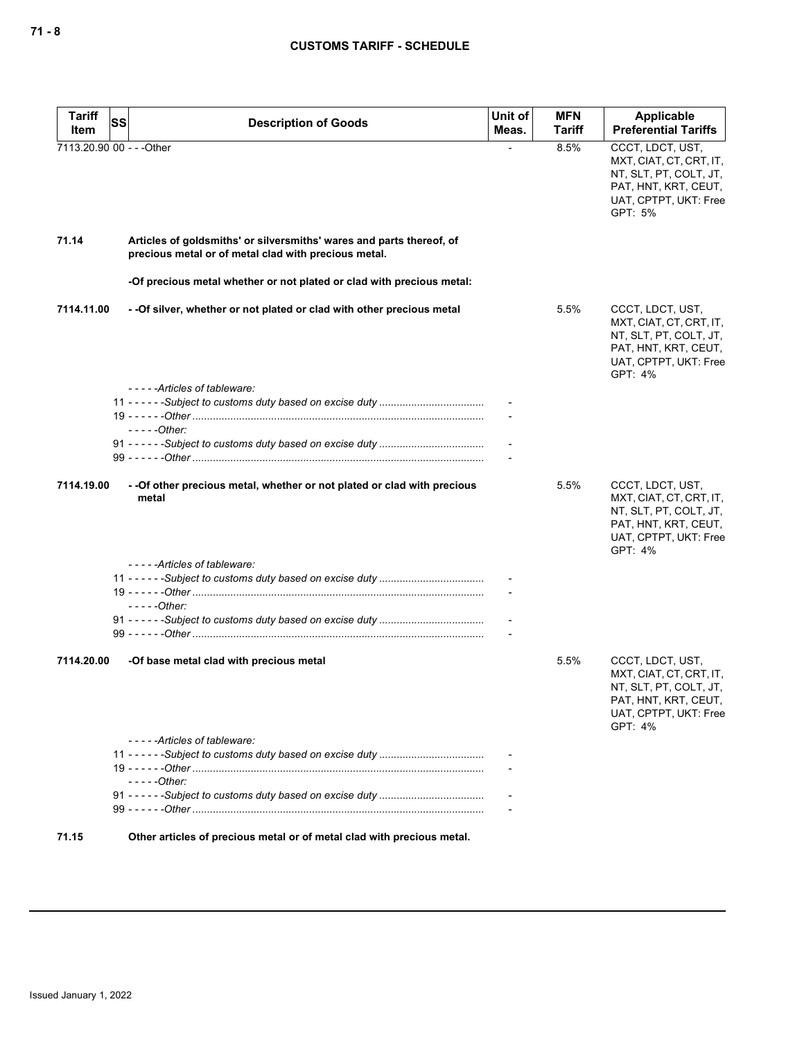| <b>Description of Goods</b>                                                                                                  | Unit of<br>Meas.                                               | <b>MFN</b><br>Tariff | Applicable<br><b>Preferential Tariffs</b>                                                                                         |
|------------------------------------------------------------------------------------------------------------------------------|----------------------------------------------------------------|----------------------|-----------------------------------------------------------------------------------------------------------------------------------|
|                                                                                                                              |                                                                | 8.5%                 | CCCT, LDCT, UST,<br>MXT, CIAT, CT, CRT, IT,<br>NT, SLT, PT, COLT, JT,<br>PAT, HNT, KRT, CEUT,<br>UAT, CPTPT, UKT: Free<br>GPT: 5% |
| Articles of goldsmiths' or silversmiths' wares and parts thereof, of<br>precious metal or of metal clad with precious metal. |                                                                |                      |                                                                                                                                   |
| -Of precious metal whether or not plated or clad with precious metal:                                                        |                                                                |                      |                                                                                                                                   |
| - - Of silver, whether or not plated or clad with other precious metal                                                       |                                                                | 5.5%                 | CCCT, LDCT, UST,<br>MXT, CIAT, CT, CRT, IT,<br>NT, SLT, PT, COLT, JT,<br>PAT, HNT, KRT, CEUT,<br>UAT, CPTPT, UKT: Free<br>GPT: 4% |
| -----Articles of tableware:                                                                                                  |                                                                |                      |                                                                                                                                   |
| $---Other:$                                                                                                                  |                                                                |                      |                                                                                                                                   |
|                                                                                                                              |                                                                |                      |                                                                                                                                   |
| - - Of other precious metal, whether or not plated or clad with precious<br>metal                                            |                                                                | 5.5%                 | CCCT, LDCT, UST,<br>MXT, CIAT, CT, CRT, IT,<br>NT, SLT, PT, COLT, JT,<br>PAT, HNT, KRT, CEUT,<br>UAT, CPTPT, UKT: Free<br>GPT: 4% |
|                                                                                                                              |                                                                |                      |                                                                                                                                   |
|                                                                                                                              |                                                                |                      |                                                                                                                                   |
| $---Other:$                                                                                                                  |                                                                |                      |                                                                                                                                   |
|                                                                                                                              |                                                                |                      |                                                                                                                                   |
| -Of base metal clad with precious metal                                                                                      |                                                                | 5.5%                 | CCCT, LDCT, UST,<br>MXT, CIAT, CT, CRT, IT,<br>NT, SLT, PT, COLT, JT,<br>PAT, HNT, KRT, CEUT,<br>UAT, CPTPT, UKT: Free<br>GPT: 4% |
| -----Articles of tableware:                                                                                                  |                                                                |                      |                                                                                                                                   |
|                                                                                                                              |                                                                |                      |                                                                                                                                   |
| $---Other:$                                                                                                                  |                                                                |                      |                                                                                                                                   |
|                                                                                                                              |                                                                |                      |                                                                                                                                   |
|                                                                                                                              | SS<br>7113.20.90 00 - - - Other<br>-----Articles of tableware: |                      |                                                                                                                                   |

**71.15 Other articles of precious metal or of metal clad with precious metal.**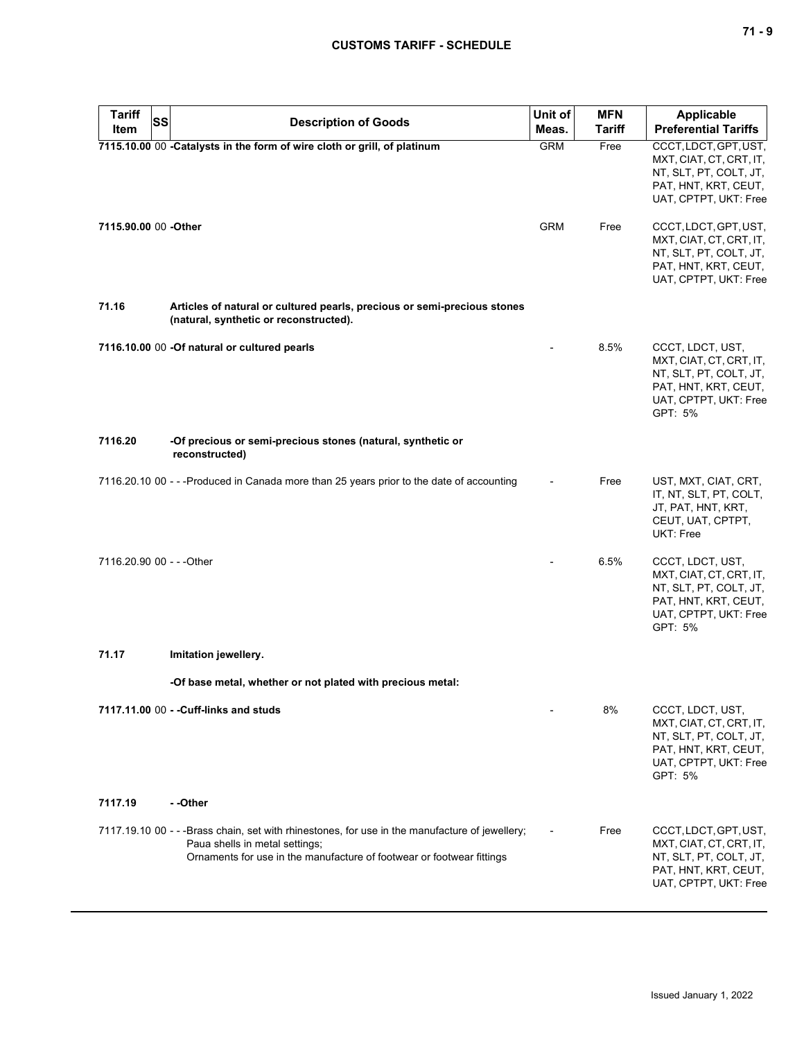| <b>Tariff</b><br><b>SS</b> | <b>Description of Goods</b>                                                                                                                                                                               | Unit of    | <b>MFN</b>    | Applicable                                                                                                                        |
|----------------------------|-----------------------------------------------------------------------------------------------------------------------------------------------------------------------------------------------------------|------------|---------------|-----------------------------------------------------------------------------------------------------------------------------------|
| Item                       |                                                                                                                                                                                                           | Meas.      | <b>Tariff</b> | <b>Preferential Tariffs</b>                                                                                                       |
|                            | 7115.10.00 00 -Catalysts in the form of wire cloth or grill, of platinum                                                                                                                                  | <b>GRM</b> | Free          | CCCT, LDCT, GPT, UST,<br>MXT, CIAT, CT, CRT, IT,<br>NT, SLT, PT, COLT, JT,<br>PAT, HNT, KRT, CEUT,<br>UAT, CPTPT, UKT: Free       |
| 7115.90.00 00 -Other       |                                                                                                                                                                                                           | <b>GRM</b> | Free          | CCCT, LDCT, GPT, UST,<br>MXT, CIAT, CT, CRT, IT,<br>NT, SLT, PT, COLT, JT,<br>PAT, HNT, KRT, CEUT,<br>UAT, CPTPT, UKT: Free       |
| 71.16                      | Articles of natural or cultured pearls, precious or semi-precious stones<br>(natural, synthetic or reconstructed).                                                                                        |            |               |                                                                                                                                   |
|                            | 7116.10.00 00 -Of natural or cultured pearls                                                                                                                                                              |            | 8.5%          | CCCT, LDCT, UST,<br>MXT, CIAT, CT, CRT, IT,<br>NT, SLT, PT, COLT, JT,<br>PAT, HNT, KRT, CEUT,<br>UAT, CPTPT, UKT: Free<br>GPT: 5% |
| 7116.20                    | -Of precious or semi-precious stones (natural, synthetic or<br>reconstructed)                                                                                                                             |            |               |                                                                                                                                   |
|                            | 7116.20.10 00 - - -Produced in Canada more than 25 years prior to the date of accounting                                                                                                                  |            | Free          | UST, MXT, CIAT, CRT,<br>IT, NT, SLT, PT, COLT,<br>JT, PAT, HNT, KRT,<br>CEUT, UAT, CPTPT,<br>UKT: Free                            |
| 7116.20.90 00 - - - Other  |                                                                                                                                                                                                           |            | 6.5%          | CCCT, LDCT, UST,<br>MXT, CIAT, CT, CRT, IT,<br>NT, SLT, PT, COLT, JT,<br>PAT, HNT, KRT, CEUT,<br>UAT, CPTPT, UKT: Free<br>GPT: 5% |
| 71.17                      | Imitation jewellery.                                                                                                                                                                                      |            |               |                                                                                                                                   |
|                            | -Of base metal, whether or not plated with precious metal:                                                                                                                                                |            |               |                                                                                                                                   |
| 7117.19                    | 7117.11.00 00 - - Cuff-links and studs<br>--Other                                                                                                                                                         |            | 8%            | CCCT, LDCT, UST,<br>MXT, CIAT, CT, CRT, IT,<br>NT, SLT, PT, COLT, JT,<br>PAT, HNT, KRT, CEUT,<br>UAT, CPTPT, UKT: Free<br>GPT: 5% |
|                            |                                                                                                                                                                                                           |            |               |                                                                                                                                   |
|                            | 7117.19.10 00 - - -Brass chain, set with rhinestones, for use in the manufacture of jewellery;<br>Paua shells in metal settings;<br>Ornaments for use in the manufacture of footwear or footwear fittings |            | Free          | CCCT, LDCT, GPT, UST,<br>MXT, CIAT, CT, CRT, IT,<br>NT, SLT, PT, COLT, JT,<br>PAT, HNT, KRT, CEUT,<br>UAT, CPTPT, UKT: Free       |